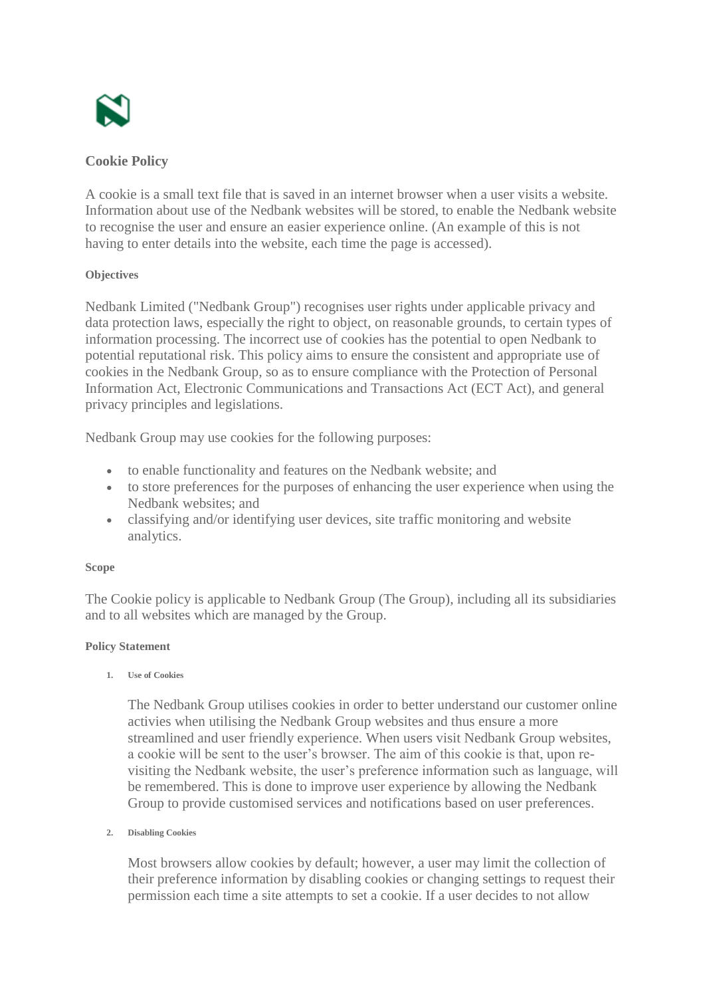

# **Cookie Policy**

A cookie is a small text file that is saved in an internet browser when a user visits a website. Information about use of the Nedbank websites will be stored, to enable the Nedbank website to recognise the user and ensure an easier experience online. (An example of this is not having to enter details into the website, each time the page is accessed).

### **Objectives**

Nedbank Limited ("Nedbank Group") recognises user rights under applicable privacy and data protection laws, especially the right to object, on reasonable grounds, to certain types of information processing. The incorrect use of cookies has the potential to open Nedbank to potential reputational risk. This policy aims to ensure the consistent and appropriate use of cookies in the Nedbank Group, so as to ensure compliance with the Protection of Personal Information Act, Electronic Communications and Transactions Act (ECT Act), and general privacy principles and legislations.

Nedbank Group may use cookies for the following purposes:

- to enable functionality and features on the Nedbank website; and
- to store preferences for the purposes of enhancing the user experience when using the Nedbank websites; and
- classifying and/or identifying user devices, site traffic monitoring and website analytics.

## **Scope**

The Cookie policy is applicable to Nedbank Group (The Group), including all its subsidiaries and to all websites which are managed by the Group.

## **Policy Statement**

**1. Use of Cookies**

The Nedbank Group utilises cookies in order to better understand our customer online activies when utilising the Nedbank Group websites and thus ensure a more streamlined and user friendly experience. When users visit Nedbank Group websites, a cookie will be sent to the user's browser. The aim of this cookie is that, upon revisiting the Nedbank website, the user's preference information such as language, will be remembered. This is done to improve user experience by allowing the Nedbank Group to provide customised services and notifications based on user preferences.

#### **2. Disabling Cookies**

Most browsers allow cookies by default; however, a user may limit the collection of their preference information by disabling cookies or changing settings to request their permission each time a site attempts to set a cookie. If a user decides to not allow